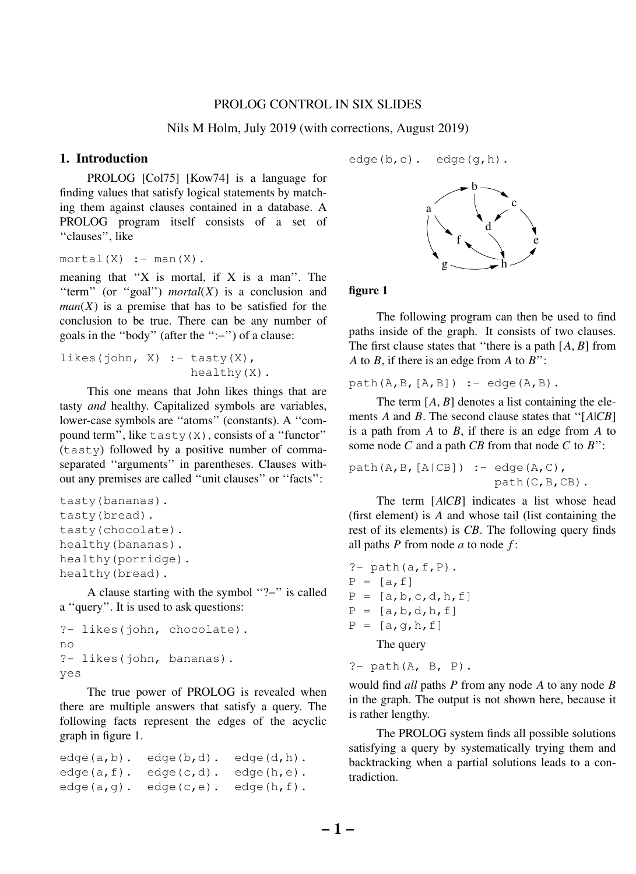## PROLOG CONTROL IN SIX SLIDES

Nils M Holm, July 2019 (with corrections, August 2019)

# **1. Introduction**

PROLOG [Col75] [Kow74] is a language for finding values that satisfy logical statements by matching them against clauses contained in a database. A PROLOG program itself consists of a set of ''clauses'', like

```
mortal(X) :- man(X).
```
meaning that " $X$  is mortal, if  $X$  is a man". The "term" (or "goal") *mortal*( $X$ ) is a conclusion and  $man(X)$  is a premise that has to be satisfied for the conclusion to be true. There can be any number of goals in the ''body'' (after the '':−'') of a clause:

likes(john, X) :- tasty $(X)$ , healthy(X).

This one means that John likes things that are tasty *and* healthy. Capitalized symbols are variables, lower-case symbols are ''atoms'' (constants). A ''compound term", like  $\text{task}(X)$ , consists of a "functor" (tasty) followed by a positive number of commaseparated ''arguments'' in parentheses. Clauses without any premises are called ''unit clauses'' or ''facts'':

```
tasty(bananas).
tasty(bread).
tasty(chocolate).
healthy(bananas).
healthy(porridge).
healthy(bread).
```
A clause starting with the symbol ''?−'' is called a ''query''. It is used to ask questions:

```
?- likes(john, chocolate).
no
?- likes(john, bananas).
yes
```
The true power of PROLOG is revealed when there are multiple answers that satisfy a query. The following facts represent the edges of the acyclic graph in figure 1.

```
edge(a,b). edge(b,d). edge(d,h).
edge(a, f). edge(c, d). edge(h, e).
edge(a,q). edge(c,e). edge(h,f).
```
 $edge(b, c)$ .  $edge(q, h)$ .



## **figure 1**

The following program can then be used to find paths inside of the graph. It consists of two clauses. The first clause states that ''there is a path [*A*, *B*] from *A* to *B*, if there is an edge from *A* to *B*'':

 $path(A, B, [A, B]) := edge(A, B)$ .

The term  $[A, B]$  denotes a list containing the elements *A* and *B*. The second clause states that ''[*A*|*CB*] is a path from *A* to *B*, if there is an edge from *A* to some node *C* and a path *CB* from that node *C* to *B*'':

path $(A, B, [A|CB])$  :- edge $(A, C)$ , path(C,B,CB).

The term  $[A|CB]$  indicates a list whose head (first element) is *A* and whose tail (list containing the rest of its elements) is *CB*. The following query finds all paths *P* from node *a* to node *f* :

?-  $path(a, f, P)$ .  $P = [a, f]$  $P = [a, b, c, d, h, f]$  $P = [a, b, d, h, f]$  $P = [a,q,h,f]$ The query

 $?$ - path $(A, B, P)$ .

would find *all* paths *P* from any node *A* to any node *B* in the graph. The output is not shown here, because it is rather lengthy.

The PROLOG system finds all possible solutions satisfying a query by systematically trying them and backtracking when a partial solutions leads to a contradiction.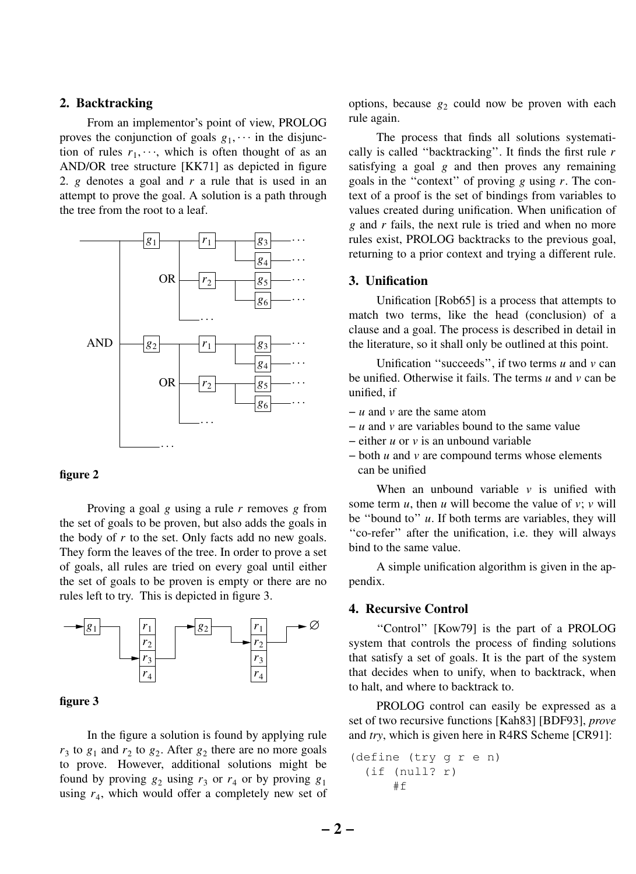## **2. Backtracking**

From an implementor's point of view, PROLOG proves the conjunction of goals  $g_1$ ,  $\cdots$  in the disjunction of rules  $r_1, \dots$ , which is often thought of as an AND/OR tree structure [KK71] as depicted in figure 2. *g* denotes a goal and *r* a rule that is used in an attempt to prove the goal. A solution is a path through the tree from the root to a leaf.



#### **figure 2**

Proving a goal *g* using a rule *r* removes *g* from the set of goals to be proven, but also adds the goals in the body of *r* to the set. Only facts add no new goals. They form the leaves of the tree. In order to prove a set of goals, all rules are tried on every goal until either the set of goals to be proven is empty or there are no rules left to try. This is depicted in figure 3.



#### **figure 3**

In the figure a solution is found by applying rule  $r_3$  to  $g_1$  and  $r_2$  to  $g_2$ . After  $g_2$  there are no more goals to prove. However, additional solutions might be found by proving  $g_2$  using  $r_3$  or  $r_4$  or by proving  $g_1$ using  $r_4$ , which would offer a completely new set of

options, because  $g_2$  could now be proven with each rule again.

The process that finds all solutions systematically is called ''backtracking''. It finds the first rule *r* satisfying a goal *g* and then proves any remaining goals in the ''context'' of proving *g* using *r*. The context of a proof is the set of bindings from variables to values created during unification. When unification of *g* and *r* fails, the next rule is tried and when no more rules exist, PROLOG backtracks to the previous goal, returning to a prior context and trying a different rule.

#### **3. Unification**

Unification [Rob65] is a process that attempts to match two terms, like the head (conclusion) of a clause and a goal. The process is described in detail in the literature, so it shall only be outlined at this point.

Unification ''succeeds'', if two terms *u* and *v* can be unified. Otherwise it fails. The terms *u* and *v* can be unified, if

- − *u* and *v* are the same atom
- − *u* and *v* are variables bound to the same value
- − either *u* or *v* is an unbound variable
- − both *u* and *v* are compound terms whose elements can be unified

When an unbound variable *v* is unified with some term  $u$ , then  $u$  will become the value of  $v$ ;  $v$  will be ''bound to'' *u*. If both terms are variables, they will ''co-refer'' after the unification, i.e. they will always bind to the same value.

A simple unification algorithm is given in the appendix.

### **4. Recursive Control**

"Control" [Kow79] is the part of a PROLOG system that controls the process of finding solutions that satisfy a set of goals. It is the part of the system that decides when to unify, when to backtrack, when to halt, and where to backtrack to.

PROLOG control can easily be expressed as a set of two recursive functions [Kah83] [BDF93], *prove* and *try*, which is given here in R4RS Scheme [CR91]:

```
(define (try g r e n)
  (if (null? r)
      #f
```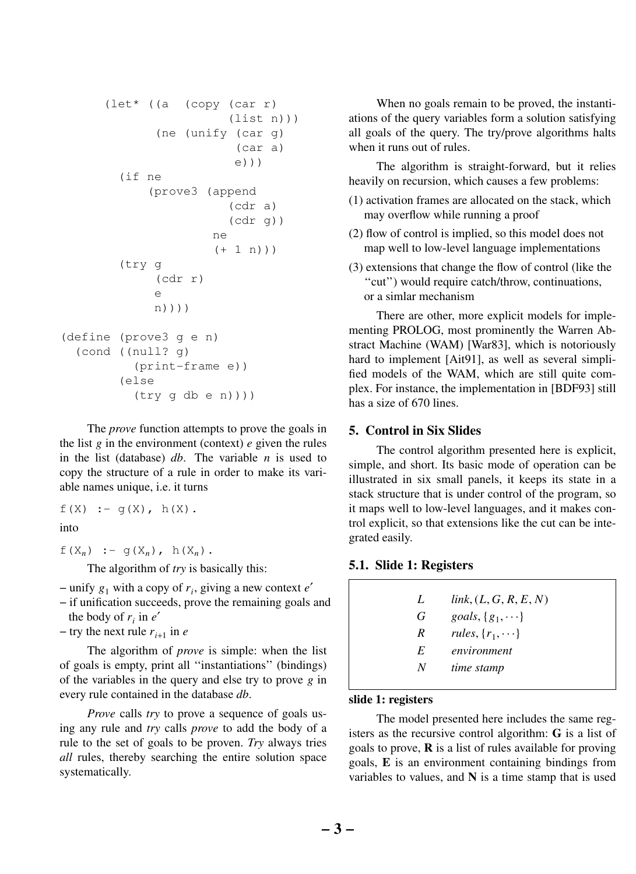```
(let* ((a (copy (car r)
                        (list n)))
             (ne (unify (car g)
                         (car a)
                         e)))
        (if ne
            (prove3 (append
                        (cdr a)
                        (cdr q)ne
                      (+ 1 n))(try g
             (cdr r)
             e
             n))))
(define (prove3 g e n)
  (cond ((null? g)
          (print-frame e))
        (else
          (try g db e n)))
```
The *prove* function attempts to prove the goals in the list *g* in the environment (context) *e* given the rules in the list (database) *db*. The variable *n* is used to copy the structure of a rule in order to make its variable names unique, i.e. it turns

$$
f(X) := g(X), h(X).
$$

into

f(X<sub>n</sub>) :- g(X<sub>n</sub>), h(X<sub>n</sub>).

The algorithm of *try* is basically this:

− unify *g*<sup>1</sup> with a copy of *r<sup>i</sup>* , giving a new context *e*′

− if unification succeeds, prove the remaining goals and the body of  $r_i$  in  $e'$ 

 $-$  try the next rule  $r_{i+1}$  in *e* 

The algorithm of *prove* is simple: when the list of goals is empty, print all ''instantiations'' (bindings) of the variables in the query and else try to prove *g* in every rule contained in the database *db*.

*Prove* calls *try* to prove a sequence of goals using any rule and *try* calls *prove* to add the body of a rule to the set of goals to be proven. *Try* always tries *all* rules, thereby searching the entire solution space systematically.

When no goals remain to be proved, the instantiations of the query variables form a solution satisfying all goals of the query. The try/prove algorithms halts when it runs out of rules.

The algorithm is straight-forward, but it relies heavily on recursion, which causes a few problems:

- (1) activation frames are allocated on the stack, which may overflow while running a proof
- (2) flow of control is implied, so this model does not map well to low-level language implementations
- (3) extensions that change the flow of control (like the ''cut'') would require catch/throw, continuations, or a simlar mechanism

There are other, more explicit models for implementing PROLOG, most prominently the Warren Abstract Machine (WAM) [War83], which is notoriously hard to implement [Ait91], as well as several simplified models of the WAM, which are still quite complex. For instance, the implementation in [BDF93] still has a size of 670 lines.

# **5. Control in Six Slides**

The control algorithm presented here is explicit, simple, and short. Its basic mode of operation can be illustrated in six small panels, it keeps its state in a stack structure that is under control of the program, so it maps well to low-level languages, and it makes control explicit, so that extensions like the cut can be integrated easily.

## **5.1. Slide 1: Registers**

| L       | link, (L, G, R, E, N)   |
|---------|-------------------------|
| G       | goals, $\{g_1, \dots\}$ |
| R       | rules, $\{r_1, \dots\}$ |
| E       | environment             |
| $N_{-}$ | time stamp              |
|         |                         |

### **slide 1: registers**

The model presented here includes the same registers as the recursive control algorithm: **G** is a list of goals to prove, **R** is a list of rules available for proving goals, **E** is an environment containing bindings from variables to values, and **N** is a time stamp that is used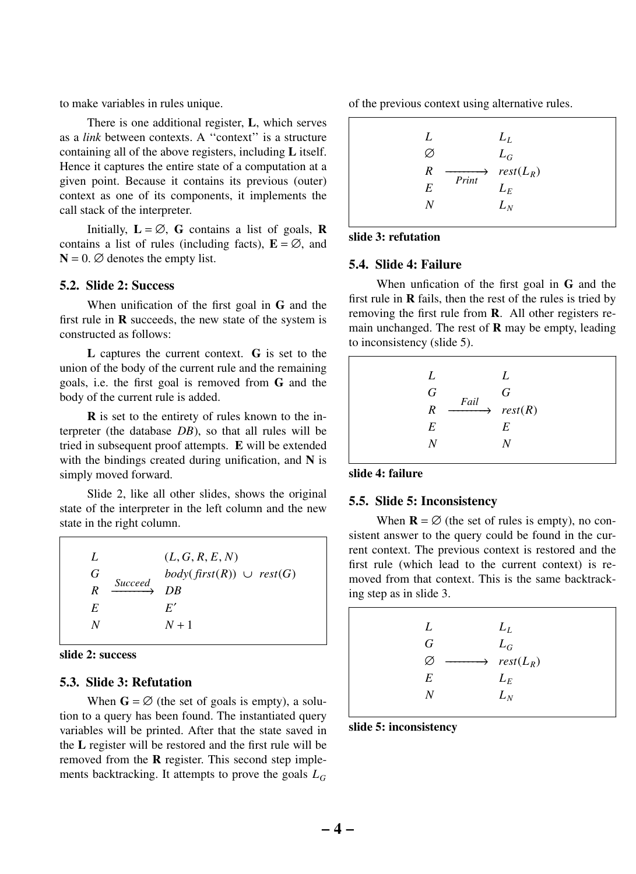to make variables in rules unique.

There is one additional register, **L**, which serves as a *link* between contexts. A ''context'' is a structure containing all of the above registers, including **L** itself. Hence it captures the entire state of a computation at a given point. Because it contains its previous (outer) context as one of its components, it implements the call stack of the interpreter.

Initially,  $L = \emptyset$ , **G** contains a list of goals, **R** contains a list of rules (including facts),  $\mathbf{E} = \emptyset$ , and  $N = 0$ .  $\varnothing$  denotes the empty list.

### **5.2. Slide 2: Success**

When unification of the first goal in **G** and the first rule in **R** succeeds, the new state of the system is constructed as follows:

**L** captures the current context. **G** is set to the union of the body of the current rule and the remaining goals, i.e. the first goal is removed from **G** and the body of the current rule is added.

**R** is set to the entirety of rules known to the interpreter (the database *DB*), so that all rules will be tried in subsequent proof attempts. **E** will be extended with the bindings created during unification, and **N** is simply moved forward.

Slide 2, like all other slides, shows the original state of the interpreter in the left column and the new state in the right column.

| Ι.<br>G<br>Succeed<br>R<br>E | (L, G, R, E, N)<br>$body(first(R)) \cup rest(G)$<br>DR<br>F' |
|------------------------------|--------------------------------------------------------------|
| N                            | $N+1$                                                        |



### **5.3. Slide 3: Refutation**

When  $\mathbf{G} = \emptyset$  (the set of goals is empty), a solution to a query has been found. The instantiated query variables will be printed. After that the state saved in the **L** register will be restored and the first rule will be removed from the **R** register. This second step implements backtracking. It attempts to prove the goals *L<sup>G</sup>*

of the previous context using alternative rules.

| L |       | $L_L$                                   |
|---|-------|-----------------------------------------|
| Ø |       | $L_G$                                   |
| R |       | $\longrightarrow$ rest(L <sub>R</sub> ) |
| E | Print | $L_{E}$                                 |
| N |       | $L_N$                                   |
|   |       |                                         |

## **slide 3: refutation**

### **5.4. Slide 4: Failure**

When unfication of the first goal in **G** and the first rule in **R** fails, then the rest of the rules is tried by removing the first rule from **R**. All other registers remain unchanged. The rest of **R** may be empty, leading to inconsistency (slide 5).

| L<br>L<br>G<br>G<br>Fail<br>$\overrightarrow{r}$ rest(R)<br>R<br>E<br>E<br>N |  |
|------------------------------------------------------------------------------|--|
|------------------------------------------------------------------------------|--|

### **slide 4: failure**

### **5.5. Slide 5: Inconsistency**

When  $\mathbf{R} = \emptyset$  (the set of rules is empty), no consistent answer to the query could be found in the current context. The previous context is restored and the first rule (which lead to the current context) is removed from that context. This is the same backtracking step as in slide 3.

| L | $L_L$                                   |
|---|-----------------------------------------|
| G | $L_G$                                   |
| Ø | $\longrightarrow$ rest(L <sub>R</sub> ) |
| E | $L_{E}$                                 |
| N | $L_N$                                   |
|   |                                         |

**slide 5: inconsistency**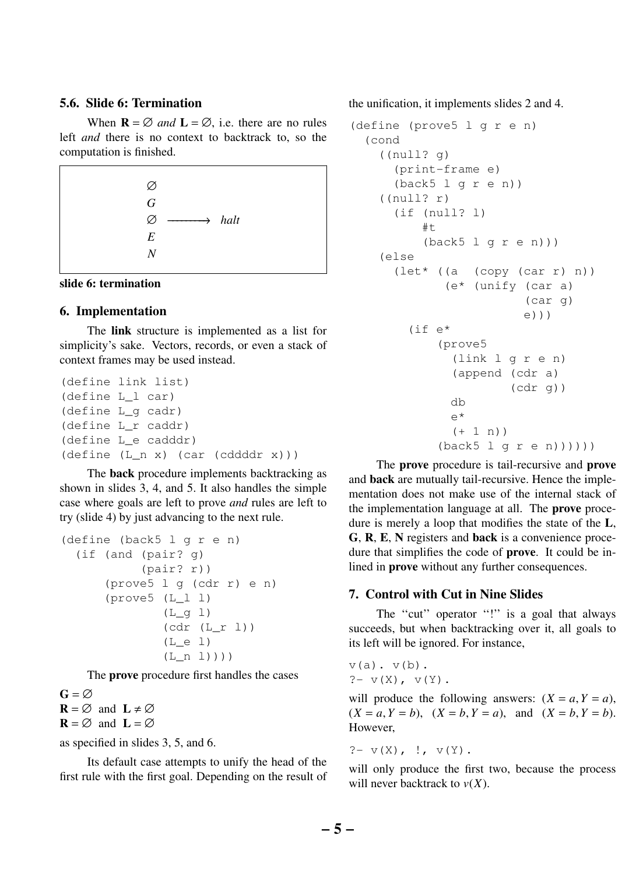# **5.6. Slide 6: Termination**

When  $\mathbf{R} = \emptyset$  *and*  $\mathbf{L} = \emptyset$ , i.e. there are no rules left *and* there is no context to backtrack to, so the computation is finished.





### **6. Implementation**

The **link** structure is implemented as a list for simplicity's sake. Vectors, records, or even a stack of context frames may be used instead.

```
(define link list)
(define L_l car)
(define L_g cadr)
(define L_r caddr)
(define L_e cadddr)
(define (L_n x) (car (cddddr x)))
```
The **back** procedure implements backtracking as shown in slides 3, 4, and 5. It also handles the simple case where goals are left to prove *and* rules are left to try (slide 4) by just advancing to the next rule.

```
(define (back5 l g r e n)
  (if (and (pair? g)
           (pair? r))
      (prove5 l g (cdr r) e n)
      (prove5 (L_l l)
              (L_q 1)(cdr (L_r l))
              (L_e 1)(L_n 1)))
```
The **prove** procedure first handles the cases

 $G = \varnothing$  $\mathbf{R} = \emptyset$  and  $\mathbf{L} \neq \emptyset$  $\mathbf{R} = \emptyset$  and  $\mathbf{L} = \emptyset$ 

as specified in slides 3, 5, and 6.

Its default case attempts to unify the head of the first rule with the first goal. Depending on the result of the unification, it implements slides 2 and 4.

```
(define (prove5 l g r e n)
 (cond
    ((null? g)
      (print-frame e)
      (back5 1 q r e n)((null? r)
      (if (null? l)
          #t
          (back5 l g r e n)))
    (else
      (let* ((a (copy (car r) n))
             (e* (unify (car a)
                         (car g)
                        e)))
        (if e*
            (prove5
              (link l g r e n)
              (append (cdr a)
                      (cdr q))
              db
              e*
              (+ 1 n)(back5 1 q r e n))))
```
The **prove** procedure is tail-recursive and **prove** and **back** are mutually tail-recursive. Hence the implementation does not make use of the internal stack of the implementation language at all. The **prove** procedure is merely a loop that modifies the state of the **L**, **G**, **R**, **E**, **N** registers and **back** is a convenience procedure that simplifies the code of **prove**. It could be inlined in **prove** without any further consequences.

## **7. Control with Cut in Nine Slides**

The "cut" operator "!" is a goal that always succeeds, but when backtracking over it, all goals to its left will be ignored. For instance,

 $v(a)$ .  $v(b)$ .  $? - v(X), v(Y).$ 

will produce the following answers:  $(X = a, Y = a)$ ,  $(X = a, Y = b)$ ,  $(X = b, Y = a)$ , and  $(X = b, Y = b)$ . However,

$$
?= \nu(X), \quad !, \quad \nu(Y).
$$

will only produce the first two, because the process will never backtrack to *v*(*X*).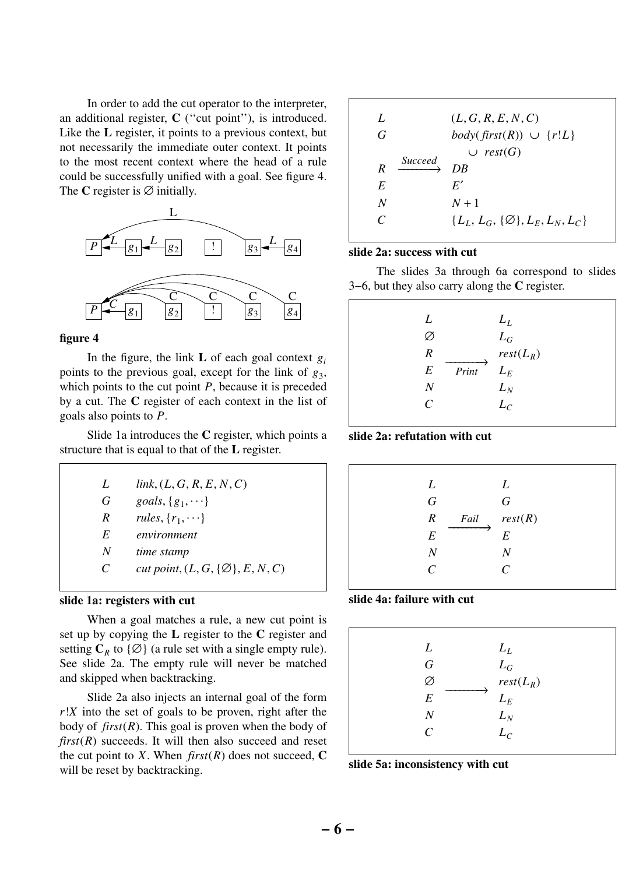In order to add the cut operator to the interpreter, an additional register, **C** (''cut point''), is introduced. Like the **L** register, it points to a previous context, but not necessarily the immediate outer context. It points to the most recent context where the head of a rule could be successfully unified with a goal. See figure 4. The **C** register is  $\emptyset$  initially.



#### **figure 4**

In the figure, the link **L** of each goal context  $g_i$ points to the previous goal, except for the link of  $g_3$ , which points to the cut point *P*, because it is preceded by a cut. The **C** register of each context in the list of goals also points to *P*.

Slide 1a introduces the **C** register, which points a structure that is equal to that of the **L** register.

| L | link, (L, G, R, E, N, C)                    |
|---|---------------------------------------------|
| G | goals, $\{g_1, \dots\}$                     |
| R | rules, $\{r_1, \dots\}$                     |
| E | environment                                 |
| N | time stamp                                  |
| C | cut point, $(L, G, \{\emptyset\}, E, N, C)$ |

## **slide 1a: registers with cut**

When a goal matches a rule, a new cut point is set up by copying the **L** register to the **C** register and setting  $C_R$  to  $\{\emptyset\}$  (a rule set with a single empty rule). See slide 2a. The empty rule will never be matched and skipped when backtracking.

Slide 2a also injects an internal goal of the form *r*!*X* into the set of goals to be proven, right after the body of *first*(*R*). This goal is proven when the body of  $first(R)$  succeeds. It will then also succeed and reset the cut point to *X*. When  $first(R)$  does not succeed, **C** will be reset by backtracking.

| L<br>G                      |                | (L, G, R, E, N, C)<br><i>body</i> ( $first(R)$ ) $\cup$ { $r!L$ }<br>$\cup$ rest(G) |
|-----------------------------|----------------|-------------------------------------------------------------------------------------|
| R                           | <i>Succeed</i> | DR                                                                                  |
| E                           |                | E'                                                                                  |
| N                           |                | $N+1$                                                                               |
| $\mathcal{C}_{\mathcal{C}}$ |                | ${L_L, L_G, {\emptyset}, L_F, L_N, L_C}$                                            |

## **slide 2a: success with cut**

The slides 3a through 6a correspond to slides 3−6, but they also carry along the **C** register.

| L<br>R<br>E<br>N<br>$\mathcal{C}_{\mathcal{C}}$ | Print | $L_L$<br>$L_G$<br>$rest(L_R)$<br>$L_E$<br>$L_N$<br>$L_C$ |
|-------------------------------------------------|-------|----------------------------------------------------------|
|                                                 |       |                                                          |

#### **slide 2a: refutation with cut**

| L                | L                                          |
|------------------|--------------------------------------------|
| $\overline{G}$   | $\overline{G}$                             |
| R                | <i>Fail</i> $\qquad \qquad \text{rest}(R)$ |
| $\boldsymbol{E}$ | E                                          |
| Ν                | $\overline{N}$                             |
| $\mathcal{C}$    | $\mathcal{C}$                              |
|                  |                                            |

#### **slide 4a: failure with cut**

| L                | $L_L$          |  |
|------------------|----------------|--|
| $\overline{G}$   | ${\cal L}_{G}$ |  |
|                  | $rest(L_R)$    |  |
| $\boldsymbol{E}$ | $L_E$          |  |
| N                | $L_N$          |  |
| $\overline{C}$   | $L_C$          |  |
|                  |                |  |

#### **slide 5a: inconsistency with cut**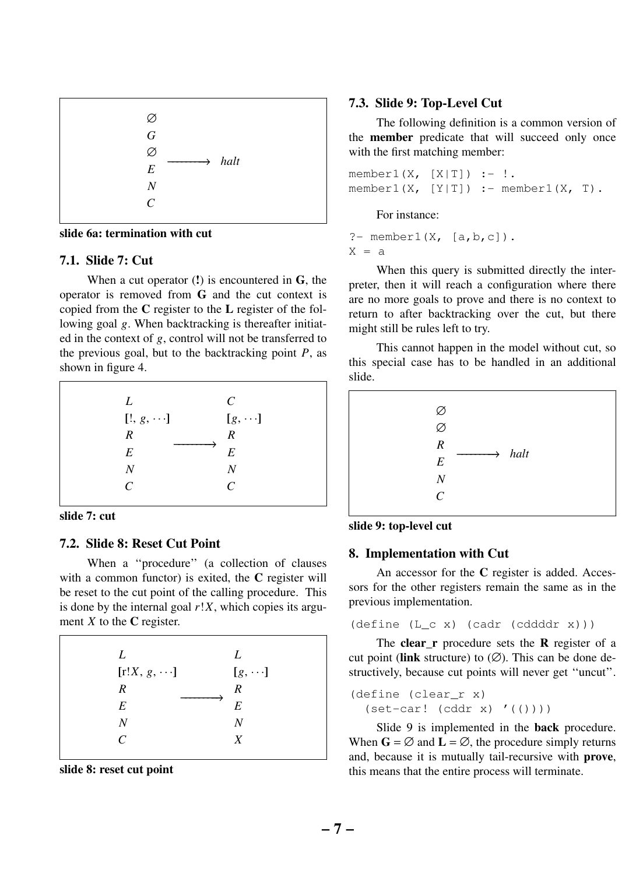

**slide 6a: termination with cut**

### **7.1. Slide 7: Cut**

When a cut operator (**!**) is encountered in **G**, the operator is removed from **G** and the cut context is copied from the **C** register to the **L** register of the following goal *g*. When backtracking is thereafter initiated in the context of *g*, control will not be transferred to the previous goal, but to the backtracking point  $P$ , as shown in figure 4.



## **slide 7: cut**

## **7.2. Slide 8: Reset Cut Point**

When a ''procedure'' (a collection of clauses with a common functor) is exited, the **C** register will be reset to the cut point of the calling procedure. This is done by the internal goal *r*!*X*, which copies its argument *X* to the **C** register.

| L                           | L                |
|-----------------------------|------------------|
| $[r!X, g, \cdots]$          | $[g, \cdots]$    |
| R                           | $\boldsymbol{R}$ |
| E                           | E                |
| N                           | N                |
| $\mathcal{C}_{\mathcal{C}}$ | X                |
|                             |                  |

**slide 8: reset cut point**

## **7.3. Slide 9: Top-Level Cut**

The following definition is a common version of the **member** predicate that will succeed only once with the first matching member:

member1 $(X, [X|T])$  :- !.  $membr1(X, [Y|T]) :- member1(X, T).$ 

For instance:

?- member1 $(X, \{a,b,c\})$ .  $X = a$ 

When this query is submitted directly the interpreter, then it will reach a configuration where there are no more goals to prove and there is no context to return to after backtracking over the cut, but there might still be rules left to try.

This cannot happen in the model without cut, so this special case has to be handled in an additional slide.





#### **8. Implementation with Cut**

An accessor for the **C** register is added. Accessors for the other registers remain the same as in the previous implementation.

(define (L\_c x) (cadr (cddddr x)))

The **clear\_r** procedure sets the **R** register of a cut point (**link** structure) to  $(\emptyset)$ . This can be done destructively, because cut points will never get ''uncut''.

```
(define (clear_r x)
  (\text{set-car! } (\text{cddr x})' (()))
```
Slide 9 is implemented in the **back** procedure. When  $G = \emptyset$  and  $L = \emptyset$ , the procedure simply returns and, because it is mutually tail-recursive with **prove**, this means that the entire process will terminate.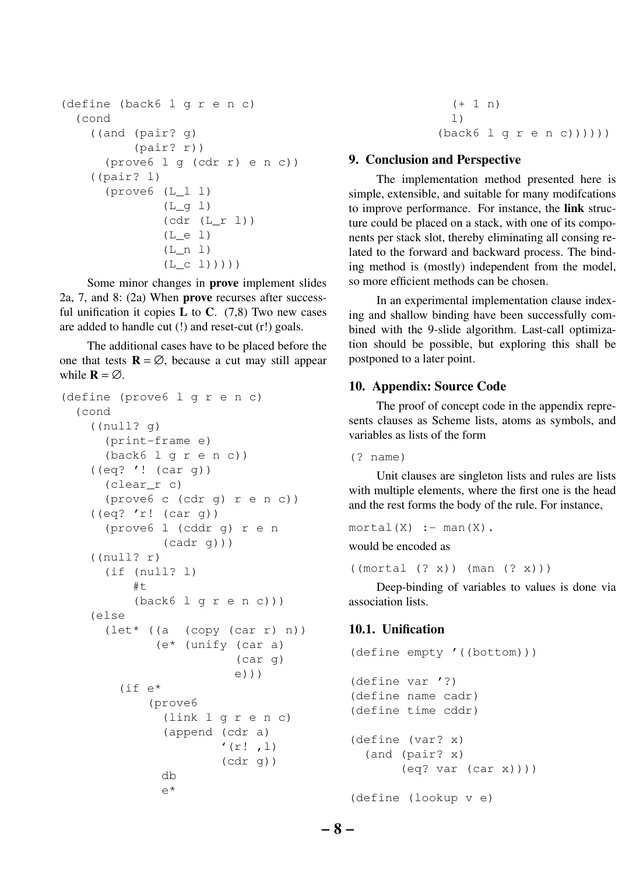```
(define (back6 l g r e n c)
  (cond
    ((and (pair? g)
          (pair? r))
      (prove6 l g (cdr r) e n c))
    ((pair? l)
      (prove6 (L_l l)
              (L_q 1)(cdr (L_r l))
              (L e 1)(L_n 1)(L_c 1)))))
```
Some minor changes in **prove** implement slides 2a, 7, and 8: (2a) When **prove** recurses after successful unification it copies  $L$  to  $C$ . (7,8) Two new cases are added to handle cut (!) and reset-cut (r!) goals.

The additional cases have to be placed before the one that tests  $\mathbf{R} = \emptyset$ , because a cut may still appear while  $\mathbf{R} = \emptyset$ .

```
(define (prove6 l g r e n c)
  (cond
    ((null? g)
      (print-frame e)
      (back6 l g r e n c))
    ((eq? '! (car g))
      (clear_r c)
      (prove6 c (cdr g) r e n c))
    ((eq? 'r! (car g))
      (prove6 l (cddr g) r e n
              (cadr q))((null? r)
      (if (null? l)
          #t(back6 l g r e n c)))
    (else
      (let* ((a (copy (car r) n))
             (e* (unify (car a)
                         (car g)
                         e)))
        (if e*
            (prove6
              (link l g r e n c)
              (append (cdr a)
                       '(r! , 1)(cdr g))
              db
              e*
```

```
(+ 1 n)\perp)
(back6 l g r e n c))))))
```
### **9. Conclusion and Perspective**

The implementation method presented here is simple, extensible, and suitable for many modifcations to improve performance. For instance, the **link** structure could be placed on a stack, with one of its components per stack slot, thereby eliminating all consing related to the forward and backward process. The binding method is (mostly) independent from the model, so more efficient methods can be chosen.

In an experimental implementation clause indexing and shallow binding have been successfully combined with the 9-slide algorithm. Last-call optimization should be possible, but exploring this shall be postponed to a later point.

### **10. Appendix: Source Code**

The proof of concept code in the appendix represents clauses as Scheme lists, atoms as symbols, and variables as lists of the form

(? name)

Unit clauses are singleton lists and rules are lists with multiple elements, where the first one is the head and the rest forms the body of the rule. For instance,

```
mortal(X) :- man(X).
```
would be encoded as

((mortal (? x)) (man (? x)))

Deep-binding of variables to values is done via association lists.

## **10.1. Unification**

```
(define empty '((bottom)))
(define var '?)
(define name cadr)
(define time cddr)
(define (var? x)
  (and (pair? x)
       (eq? var (car x))))
(define (lookup v e)
```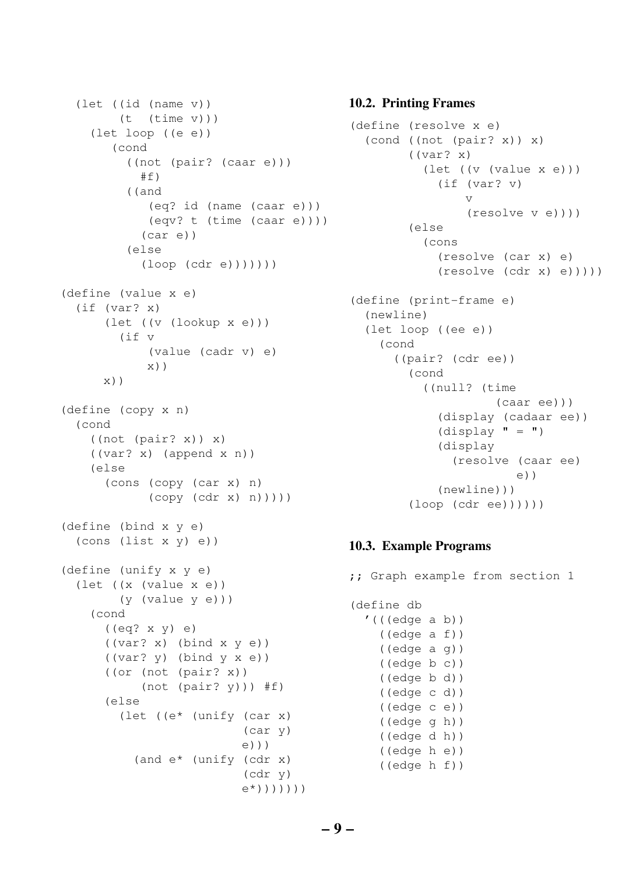```
(let ((id (name v))
        (t \text{ (time } v)))(let loop ((e e))
       (cond
         ((not (pair? (caar e)))
           #f)((and
            (eq? id (name (caar e)))
            (eqv? t (time (caar e))))
           (car e))
         (else
           (\text{loop } (\text{cdr } e)))))))
(define (value x e)
  (if (var? x)
      (let ((v (lookup x e)))
        (if v
            (value (cadr v) e)
            x))
      x))
(define (copy x n)
  (cond
    ((not (pair? x)) x)
    ((var? x) (append x n))
    (else
      (cons (copy (car x) n)
            (copy (cdr x) n))))(define (bind x y e)
  (cons (list x y) e))
(define (unify x y e)
  (let ((x (value x e))
        (y (value y e)))
    (cond
      ((eq? x y) e)
      ((var? x) (bind x y e))
      ((var? y) (bind y x e))((or (not (pair? x))
           (not (pair? y))) #f)
      (else
        (let ((e* (unify (car x)
                           (car y)
                          e)))
          (and e* (unify (cdr x)
                           (cdr y)
                          e*)))))))
```
## **10.2. Printing Frames**

```
(define (resolve x e)
  (cond ((not (pair? x)) x)
         ((var? x)
           (let ((v (value x e)))
             (if (var? v)
                 v
                 (resolve v e))))
         (else
          (cons
             (resolve (car x) e)
             (resolve (cdr x) e)))))
(define (print-frame e)
  (newline)
  (let loop ((ee e))
    (cond
      ((pair? (cdr ee))
        (cond
           ((null? (time
                     (caar ee)))
             (display (cadaar ee))
             (display " = " )(display
               (resolve (caar ee)
                       e))
             (newline)))
         (loop (cdr ee))))))
```
## **10.3. Example Programs**

;; Graph example from section 1 (define db  $'((\text{edge a b}))$ ((edge a f)) ((edge a g)) ((edge b c)) ((edge b d)) ((edge c d)) ((edge c e)) ((edge g h)) ((edge d h)) ((edge h e)) ((edge h f))